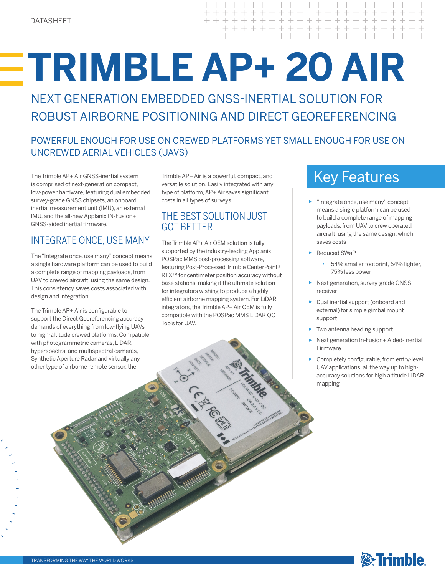$+ + + + + +$ + + + + + + + + + + + + + + + + + + + + +

# **TRIMBLE AP+ 20 AIR**

NEXT GENERATION EMBEDDED GNSS-INERTIAL SOLUTION FOR ROBUST AIRBORNE POSITIONING AND DIRECT GEOREFERENCING

## POWERFUL ENOUGH FOR USE ON CREWED PLATFORMS YET SMALL ENOUGH FOR USE ON UNCREWED AERIAL VEHICLES (UAVS)

The Trimble AP+ Air GNSS-inertial system Trimble AP+ Air is a powerful, compact, and  $Key Features$ is comprised of next-generation compact, low-power hardware, featuring dual embedded survey-grade GNSS chipsets, an onboard inertial measurement unit (IMU), an external IMU, and the all-new Applanix IN-Fusion+ GNSS-aided inertial firmware.

# INTEGRATE ONCE, USE MANY

The "Integrate once, use many" concept means a single hardware platform can be used to build a complete range of mapping payloads, from UAV to crewed aircraft, using the same design. This consistency saves costs associated with design and integration.

The Trimble AP+ Air is configurable to support the Direct Georeferencing accuracy demands of everything from low-flying UAVs to high-altitude crewed platforms. Compatible with photogrammetric cameras, LiDAR, hyperspectral and multispectral cameras, Synthetic Aperture Radar and virtually any other type of airborne remote sensor, the

Trimble AP+ Air is a powerful, compact, and versatile solution. Easily integrated with any type of platform, AP+ Air saves significant costs in all types of surveys.

## THE BEST SOLUTION JUST GOT BETTER

The Trimble AP+ Air OEM solution is fully supported by the industry-leading Applanix POSPac MMS post-processing software, featuring Post-Processed Trimble CenterPoint® RTX™ for centimeter position accuracy without base stations, making it the ultimate solution for integrators wishing to produce a highly efficient airborne mapping system. For LiDAR integrators, the Trimble AP+ Air OEM is fully compatible with the POSPac MMS LiDAR QC Tools for UAV.

- ► "Integrate once, use many" concept means a single platform can be used to build a complete range of mapping payloads, from UAV to crew operated aircraft, using the same design, which saves costs
- ► Reduced SWaP
	- 54% smaller footprint, 64% lighter, 75% less power
- ► Next generation, survey-grade GNSS receiver
- ► Dual inertial support (onboard and external) for simple gimbal mount support
- Two antenna heading support
- ► Next generation In-Fusion+ Aided-Inertial Firmware
- ► Completely configurable, from entry-level UAV applications, all the way up to highaccuracy solutions for high altitude LiDAR mapping